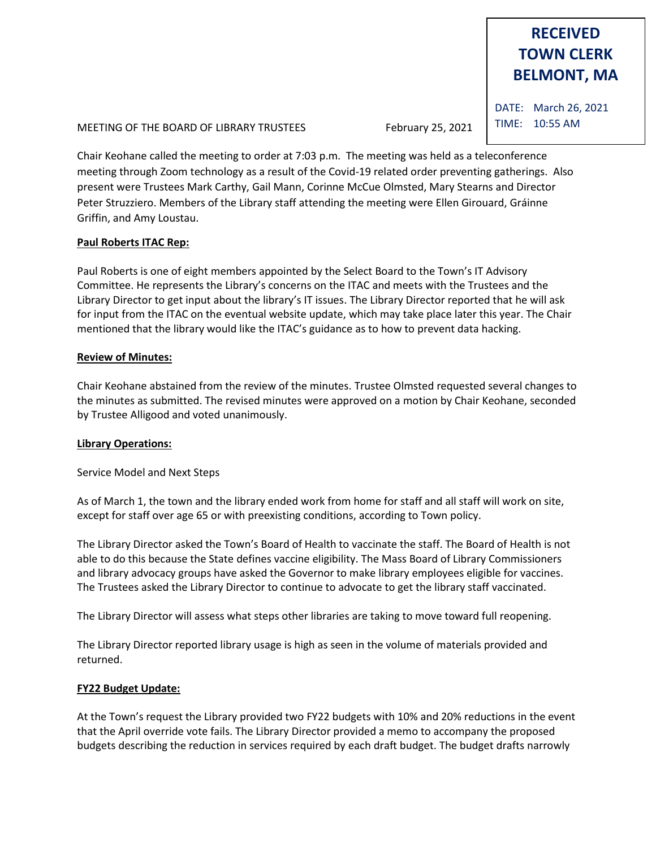# **RECEIVED TOWN CLERK BELMONT, MA**

MEETING OF THE BOARD OF LIBRARY TRUSTEES February 25, 2021

Chair Keohane called the meeting to order at 7:03 p.m. The meeting was held as a teleconference meeting through Zoom technology as a result of the Covid-19 related order preventing gatherings. Also present were Trustees Mark Carthy, Gail Mann, Corinne McCue Olmsted, Mary Stearns and Director Peter Struzziero. Members of the Library staff attending the meeting were Ellen Girouard, Gráinne Griffin, and Amy Loustau.

## **Paul Roberts ITAC Rep:**

Paul Roberts is one of eight members appointed by the Select Board to the Town's IT Advisory Committee. He represents the Library's concerns on the ITAC and meets with the Trustees and the Library Director to get input about the library's IT issues. The Library Director reported that he will ask for input from the ITAC on the eventual website update, which may take place later this year. The Chair mentioned that the library would like the ITAC's guidance as to how to prevent data hacking.

## **Review of Minutes:**

Chair Keohane abstained from the review of the minutes. Trustee Olmsted requested several changes to the minutes as submitted. The revised minutes were approved on a motion by Chair Keohane, seconded by Trustee Alligood and voted unanimously.

## **Library Operations:**

Service Model and Next Steps

As of March 1, the town and the library ended work from home for staff and all staff will work on site, except for staff over age 65 or with preexisting conditions, according to Town policy.

The Library Director asked the Town's Board of Health to vaccinate the staff. The Board of Health is not able to do this because the State defines vaccine eligibility. The Mass Board of Library Commissioners and library advocacy groups have asked the Governor to make library employees eligible for vaccines. The Trustees asked the Library Director to continue to advocate to get the library staff vaccinated.

The Library Director will assess what steps other libraries are taking to move toward full reopening.

The Library Director reported library usage is high as seen in the volume of materials provided and returned.

## **FY22 Budget Update:**

At the Town's request the Library provided two FY22 budgets with 10% and 20% reductions in the event that the April override vote fails. The Library Director provided a memo to accompany the proposed budgets describing the reduction in services required by each draft budget. The budget drafts narrowly

DATE: March 26, 2021 TIME: 10:55 AM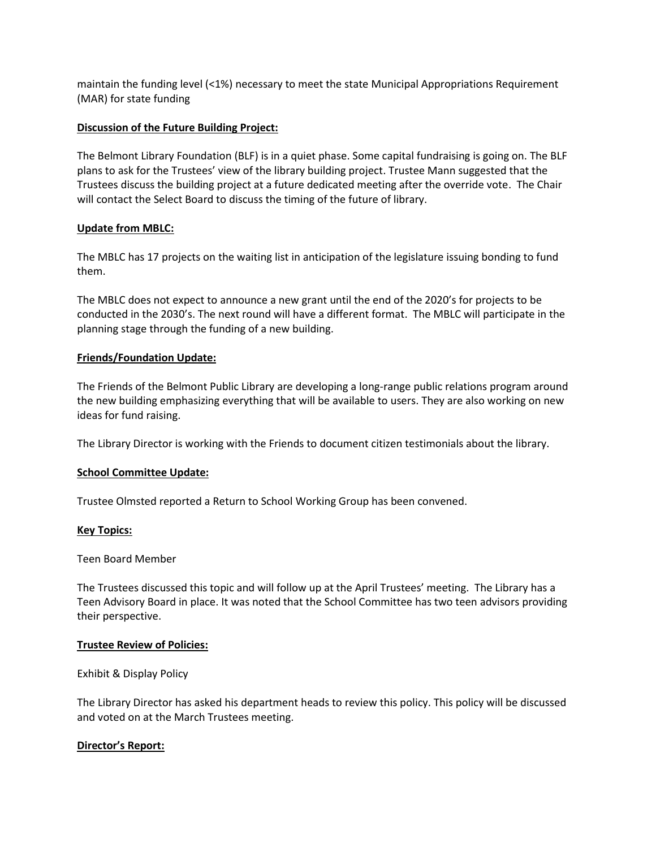maintain the funding level (<1%) necessary to meet the state Municipal Appropriations Requirement (MAR) for state funding

#### **Discussion of the Future Building Project:**

The Belmont Library Foundation (BLF) is in a quiet phase. Some capital fundraising is going on. The BLF plans to ask for the Trustees' view of the library building project. Trustee Mann suggested that the Trustees discuss the building project at a future dedicated meeting after the override vote. The Chair will contact the Select Board to discuss the timing of the future of library.

## **Update from MBLC:**

The MBLC has 17 projects on the waiting list in anticipation of the legislature issuing bonding to fund them.

The MBLC does not expect to announce a new grant until the end of the 2020's for projects to be conducted in the 2030's. The next round will have a different format. The MBLC will participate in the planning stage through the funding of a new building.

#### **Friends/Foundation Update:**

The Friends of the Belmont Public Library are developing a long-range public relations program around the new building emphasizing everything that will be available to users. They are also working on new ideas for fund raising.

The Library Director is working with the Friends to document citizen testimonials about the library.

#### **School Committee Update:**

Trustee Olmsted reported a Return to School Working Group has been convened.

#### **Key Topics:**

#### Teen Board Member

The Trustees discussed this topic and will follow up at the April Trustees' meeting. The Library has a Teen Advisory Board in place. It was noted that the School Committee has two teen advisors providing their perspective.

#### **Trustee Review of Policies:**

Exhibit & Display Policy

The Library Director has asked his department heads to review this policy. This policy will be discussed and voted on at the March Trustees meeting.

## **Director's Report:**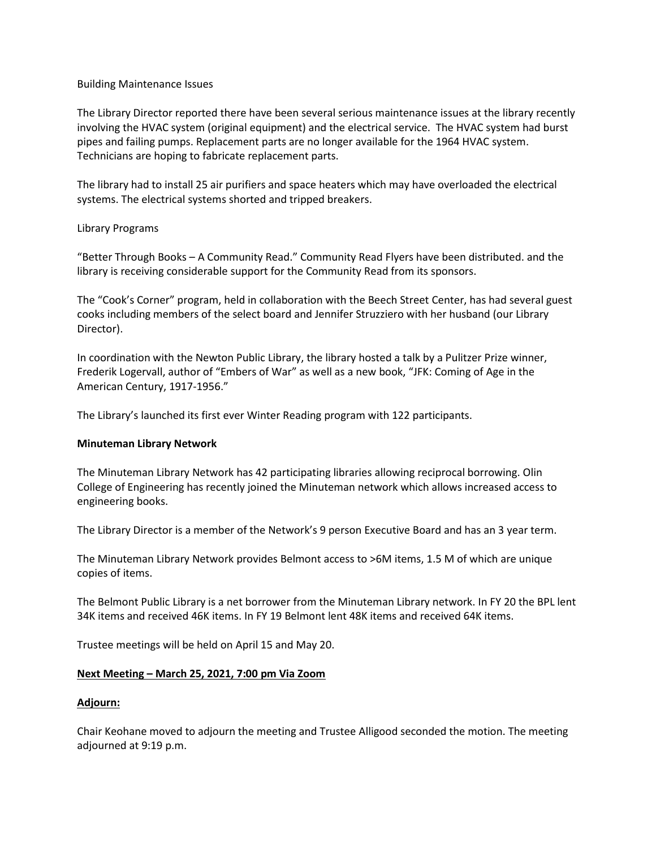#### Building Maintenance Issues

The Library Director reported there have been several serious maintenance issues at the library recently involving the HVAC system (original equipment) and the electrical service. The HVAC system had burst pipes and failing pumps. Replacement parts are no longer available for the 1964 HVAC system. Technicians are hoping to fabricate replacement parts.

The library had to install 25 air purifiers and space heaters which may have overloaded the electrical systems. The electrical systems shorted and tripped breakers.

## Library Programs

"Better Through Books – A Community Read." Community Read Flyers have been distributed. and the library is receiving considerable support for the Community Read from its sponsors.

The "Cook's Corner" program, held in collaboration with the Beech Street Center, has had several guest cooks including members of the select board and Jennifer Struzziero with her husband (our Library Director).

In coordination with the Newton Public Library, the library hosted a talk by a Pulitzer Prize winner, Frederik Logervall, author of "Embers of War" as well as a new book, "JFK: Coming of Age in the American Century, 1917-1956."

The Library's launched its first ever Winter Reading program with 122 participants.

#### **Minuteman Library Network**

The Minuteman Library Network has 42 participating libraries allowing reciprocal borrowing. Olin College of Engineering has recently joined the Minuteman network which allows increased access to engineering books.

The Library Director is a member of the Network's 9 person Executive Board and has an 3 year term.

The Minuteman Library Network provides Belmont access to >6M items, 1.5 M of which are unique copies of items.

The Belmont Public Library is a net borrower from the Minuteman Library network. In FY 20 the BPL lent 34K items and received 46K items. In FY 19 Belmont lent 48K items and received 64K items.

Trustee meetings will be held on April 15 and May 20.

## **Next Meeting – March 25, 2021, 7:00 pm Via Zoom**

#### **Adjourn:**

Chair Keohane moved to adjourn the meeting and Trustee Alligood seconded the motion. The meeting adjourned at 9:19 p.m.